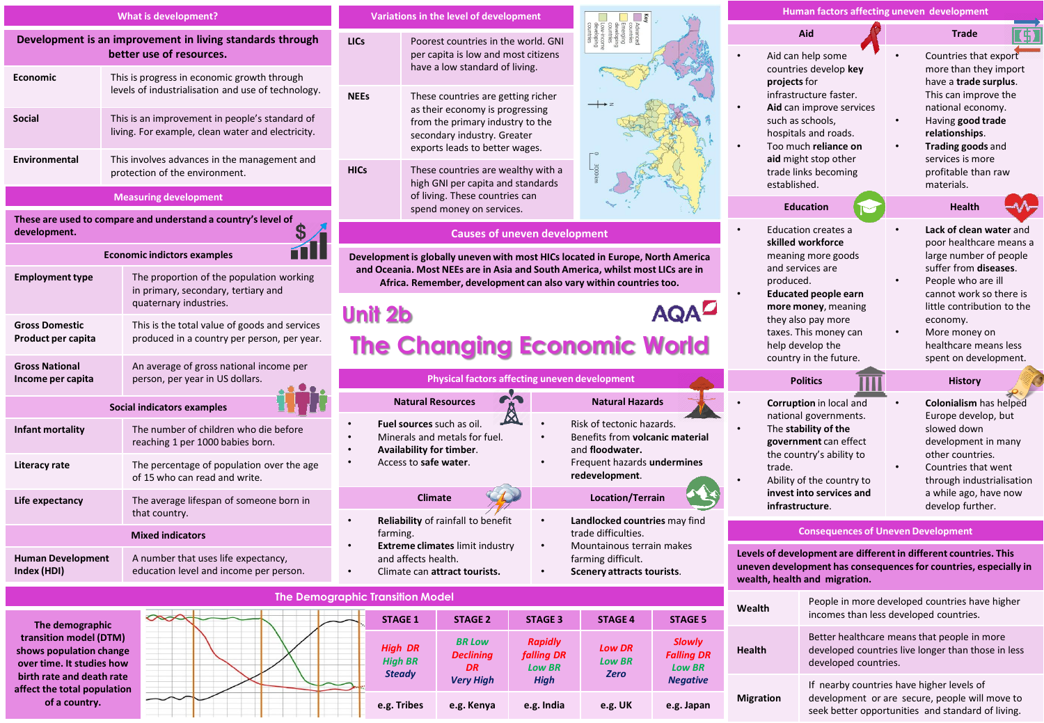| What is development?                                                                                                                       |                                                                                                           | <b>Variations in the level of development</b>                                                                                                                                                                                                                                       |                                                                                                                                                    |                        |                                                                                                                                       | Human factors affecting uneven development                                                                                                                                               |                                                                           |                                                                                                                                                                                |
|--------------------------------------------------------------------------------------------------------------------------------------------|-----------------------------------------------------------------------------------------------------------|-------------------------------------------------------------------------------------------------------------------------------------------------------------------------------------------------------------------------------------------------------------------------------------|----------------------------------------------------------------------------------------------------------------------------------------------------|------------------------|---------------------------------------------------------------------------------------------------------------------------------------|------------------------------------------------------------------------------------------------------------------------------------------------------------------------------------------|---------------------------------------------------------------------------|--------------------------------------------------------------------------------------------------------------------------------------------------------------------------------|
| Development is an improvement in living standards through<br>better use of resources.                                                      |                                                                                                           | <b>LICs</b>                                                                                                                                                                                                                                                                         | Poorest countries in the world. GNI<br>per capita is low and most citizens                                                                         |                        |                                                                                                                                       |                                                                                                                                                                                          | Aid<br>Aid can help some                                                  | <b>Trade</b><br>Countries that export                                                                                                                                          |
| <b>Economic</b>                                                                                                                            | This is progress in economic growth through<br>levels of industrialisation and use of technology.         |                                                                                                                                                                                                                                                                                     | have a low standard of living.                                                                                                                     |                        |                                                                                                                                       | projects for                                                                                                                                                                             | countries develop key<br>infrastructure faster.                           | more than they import<br>have a trade surplus.<br>This can improve the                                                                                                         |
| Social                                                                                                                                     | This is an improvement in people's standard of<br>living. For example, clean water and electricity.       | <b>NEEs</b><br>These countries are getting richer<br>as their economy is progressing<br>from the primary industry to the<br>secondary industry. Greater<br>exports leads to better wages.<br><b>HICs</b><br>These countries are wealthy with a<br>high GNI per capita and standards |                                                                                                                                                    |                        |                                                                                                                                       | Aid can improve services<br>such as schools,<br>hospitals and roads.<br>Too much reliance on                                                                                             |                                                                           | national economy.<br>Having good trade<br>relationships.<br>Trading goods and                                                                                                  |
| Environmental                                                                                                                              | This involves advances in the management and<br>protection of the environment.                            |                                                                                                                                                                                                                                                                                     |                                                                                                                                                    |                        | aid might stop other<br>trade links becoming<br>established.                                                                          | services is more<br>profitable than raw<br>materials.                                                                                                                                    |                                                                           |                                                                                                                                                                                |
|                                                                                                                                            | <b>Measuring development</b>                                                                              |                                                                                                                                                                                                                                                                                     | of living. These countries can<br>spend money on services.                                                                                         |                        |                                                                                                                                       |                                                                                                                                                                                          | <b>Education</b>                                                          | Health                                                                                                                                                                         |
| These are used to compare and understand a country's level of<br>\$<br>development.                                                        |                                                                                                           | <b>Causes of uneven development</b>                                                                                                                                                                                                                                                 |                                                                                                                                                    |                        | Education creates a<br>skilled workforce                                                                                              | Lack of clean water and<br>poor healthcare means a                                                                                                                                       |                                                                           |                                                                                                                                                                                |
|                                                                                                                                            | <b>Economic indictors examples</b>                                                                        | Development is globally uneven with most HICs located in Europe, North America                                                                                                                                                                                                      |                                                                                                                                                    |                        |                                                                                                                                       | meaning more goods                                                                                                                                                                       | large number of people                                                    |                                                                                                                                                                                |
| <b>Employment type</b>                                                                                                                     | The proportion of the population working<br>in primary, secondary, tertiary and<br>quaternary industries. |                                                                                                                                                                                                                                                                                     | and Oceania. Most NEEs are in Asia and South America, whilst most LICs are in<br>Africa. Remember, development can also vary within countries too. |                        |                                                                                                                                       |                                                                                                                                                                                          | and services are<br>produced.<br>$\bullet$<br><b>Educated people earn</b> | suffer from <b>diseases</b> .<br>People who are ill<br>cannot work so there is                                                                                                 |
|                                                                                                                                            |                                                                                                           |                                                                                                                                                                                                                                                                                     | AQAD<br>Unit 2b                                                                                                                                    |                        |                                                                                                                                       | more money, meaning<br>they also pay more<br>economy.<br>taxes. This money can<br>More money on<br>help develop the<br>healthcare means less<br>country in the future.                   |                                                                           | little contribution to the                                                                                                                                                     |
| <b>Gross Domestic</b><br>Product per capita                                                                                                | This is the total value of goods and services<br>produced in a country per person, per year.              | <b>The Changing Economic World</b>                                                                                                                                                                                                                                                  |                                                                                                                                                    |                        |                                                                                                                                       |                                                                                                                                                                                          |                                                                           |                                                                                                                                                                                |
| <b>Gross National</b><br>Income per capita                                                                                                 | An average of gross national income per<br>person, per year in US dollars.                                | Physical factors affecting uneven development                                                                                                                                                                                                                                       |                                                                                                                                                    |                        |                                                                                                                                       | <b>Politics</b>                                                                                                                                                                          | spent on development.<br><b>History</b>                                   |                                                                                                                                                                                |
| Social indicators examples                                                                                                                 |                                                                                                           |                                                                                                                                                                                                                                                                                     | <b>Natural Resources</b>                                                                                                                           | <b>Natural Hazards</b> |                                                                                                                                       | Corruption in local and                                                                                                                                                                  |                                                                           | <b>Colonialism</b> has helped<br>$\bullet$                                                                                                                                     |
| Infant mortality                                                                                                                           | The number of children who die before<br>reaching 1 per 1000 babies born.                                 | $\boxtimes$<br>Fuel sources such as oil.<br>Minerals and metals for fuel.<br>$\bullet$<br>Availability for timber.<br>Access to safe water.                                                                                                                                         |                                                                                                                                                    |                        | Risk of tectonic hazards.<br>Benefits from volcanic material<br>and floodwater.                                                       | national governments.<br>The stability of the<br>government can effect<br>the country's ability to<br>trade.<br>Ability of the country to<br>invest into services and<br>infrastructure. |                                                                           | Europe develop, but<br>slowed down<br>development in many<br>other countries.<br>Countries that went<br>through industrialisation<br>a while ago, have now<br>develop further. |
| Literacy rate                                                                                                                              | The percentage of population over the age<br>of 15 who can read and write.                                |                                                                                                                                                                                                                                                                                     |                                                                                                                                                    |                        | Frequent hazards undermines<br>redevelopment.                                                                                         |                                                                                                                                                                                          |                                                                           |                                                                                                                                                                                |
| Life expectancy                                                                                                                            | The average lifespan of someone born in<br>that country.                                                  | <b>Climate</b>                                                                                                                                                                                                                                                                      |                                                                                                                                                    |                        | <b>Location/Terrain</b>                                                                                                               |                                                                                                                                                                                          |                                                                           |                                                                                                                                                                                |
| <b>Mixed indicators</b>                                                                                                                    |                                                                                                           | farming.                                                                                                                                                                                                                                                                            | Reliability of rainfall to benefit                                                                                                                 |                        | Landlocked countries may find<br>trade difficulties.<br>Mountainous terrain makes<br>farming difficult.<br>Scenery attracts tourists. | <b>Consequences of Uneven Development</b>                                                                                                                                                |                                                                           |                                                                                                                                                                                |
| <b>Human Development</b><br>Index (HDI)                                                                                                    | A number that uses life expectancy,<br>education level and income per person.                             | <b>Extreme climates limit industry</b><br>and affects health.<br>Climate can attract tourists.                                                                                                                                                                                      |                                                                                                                                                    |                        |                                                                                                                                       | Levels of development are different in different countries. This<br>uneven development has consequences for countries, especially in<br>wealth, health and migration.                    |                                                                           |                                                                                                                                                                                |
| <b>The Demographic Transition Model</b><br>People in more developed countries have higher                                                  |                                                                                                           |                                                                                                                                                                                                                                                                                     |                                                                                                                                                    |                        |                                                                                                                                       |                                                                                                                                                                                          |                                                                           |                                                                                                                                                                                |
| Wealth<br>incomes than less developed countries.<br><b>STACE 1</b><br><b>STACE 2</b><br><b>STACE 2</b><br><b>STACE A</b><br><b>STACE E</b> |                                                                                                           |                                                                                                                                                                                                                                                                                     |                                                                                                                                                    |                        |                                                                                                                                       |                                                                                                                                                                                          |                                                                           |                                                                                                                                                                                |

**The demographic transition model (DTM) shows population change over time. It studies how birth rate and death rate affect the total population of a country.**

**STAGE 1 STAGE 2 STAGE 3 STAGE 4 STAGE 5** *High DR High BR Steady BR Low Declining DR Very High Rapidly falling DR Low BR High* **e.g. Tribes e.g. Kenya e.g. India e.g. UK e.g. Japan**

developed countries. If nearby countries have higher levels of development or are secure, people will move to seek better opportunities and standard of living.

Better healthcare means that people in more developed countries live longer than those in less

**Health**

*Slowly Falling DR Low BR Negative*

*Low DR Low BR Zero*

**Migration**